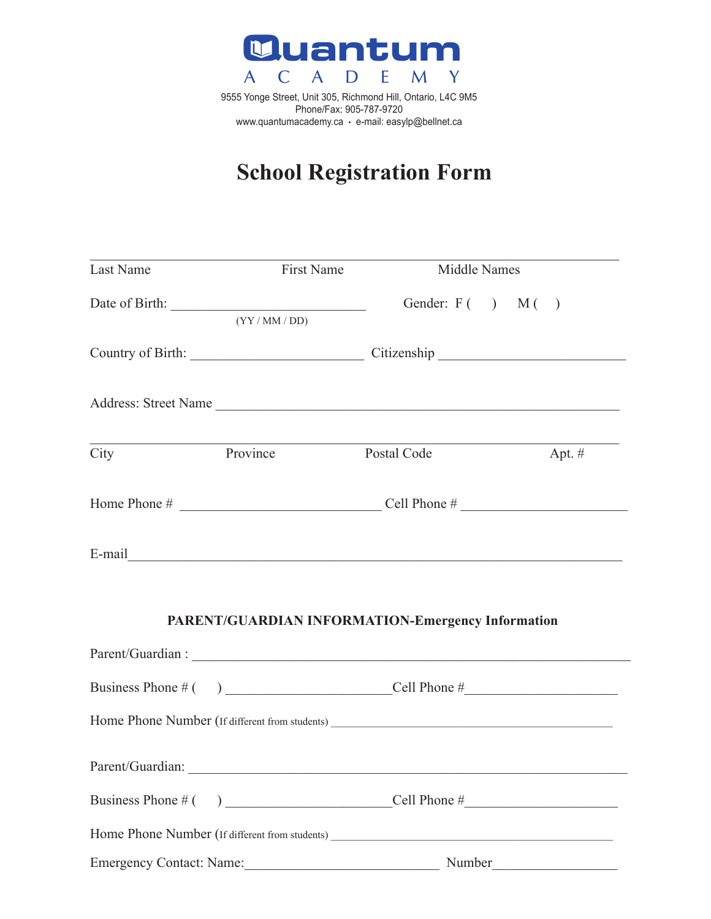

9555 Yonge Street, Unit 305, Richmond Hill, Ontario, L4C 9M5<br>Phone/Fax: 905-787-9720 Phone/Fax: 905-787-9720 www.quantumacademy.ca • e-mail: easylp@bellnet.ca

# **School Registration Form**  School Registration

| Last Name        | <b>First Name</b>        | Middle Names                                      |          |  |  |
|------------------|--------------------------|---------------------------------------------------|----------|--|--|
|                  | (YY/MM/DD)               | Gender: $F( )$ $M( )$                             |          |  |  |
|                  |                          | Country of Birth: Country of Birth:               |          |  |  |
|                  |                          | Address: Street Name                              |          |  |  |
| City             | Province                 | <b>Postal Code</b>                                | Apt. $#$ |  |  |
|                  |                          |                                                   |          |  |  |
|                  |                          |                                                   |          |  |  |
|                  |                          | PARENT/GUARDIAN INFORMATION-Emergency Information |          |  |  |
|                  |                          |                                                   |          |  |  |
|                  |                          |                                                   |          |  |  |
|                  |                          |                                                   |          |  |  |
| Parent/Guardian: |                          |                                                   |          |  |  |
|                  |                          |                                                   |          |  |  |
|                  |                          |                                                   |          |  |  |
|                  | Emergency Contact: Name: |                                                   |          |  |  |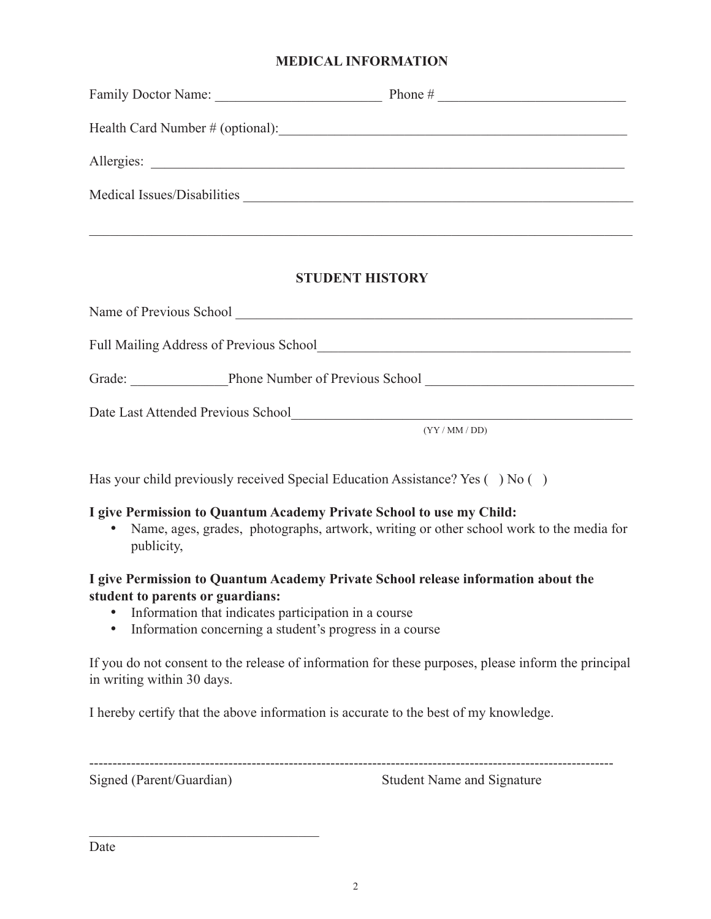## **MEDICAL INFORMATION**

| Family Doctor Name:                                         | Phone $#$<br><u> 1980 - Antonio Alemania, prima prestavlja i predsjednik i predsjednik i predsjednik i predsjednik i predsjed</u> |
|-------------------------------------------------------------|-----------------------------------------------------------------------------------------------------------------------------------|
|                                                             |                                                                                                                                   |
| Allergies:<br><u> 1989 - Andrea Andrew Maria (h. 1989).</u> |                                                                                                                                   |
| Medical Issues/Disabilities                                 |                                                                                                                                   |
|                                                             |                                                                                                                                   |

## **STUDENT HISTORY**

| Name of Previous School                        |                                 |
|------------------------------------------------|---------------------------------|
| <b>Full Mailing Address of Previous School</b> |                                 |
| Grade:                                         | Phone Number of Previous School |
| Date Last Attended Previous School             |                                 |
|                                                | (YY/MM/DD)                      |

Has your child previously received Special Education Assistance? Yes () No ()

#### **I give Permission to Quantum Academy Private School to use my Child:**

• Name, ages, grades, photographs, artwork, writing or other school work to the media for publicity,

## **I give Permission to Quantum Academy Private School release information about the student to parents or guardians:**

- Information that indicates participation in a course
- Information concerning a student's progress in a course

If you do not consent to the release of information for these purposes, please inform the principal in writing within 30 days.

I hereby certify that the above information is accurate to the best of my knowledge.

 $\mathcal{L}_\text{max}$  , where  $\mathcal{L}_\text{max}$  , we are the set of the set of the set of the set of the set of the set of the set of the set of the set of the set of the set of the set of the set of the set of the set of the set of

Signed (Parent/Guardian) Student Name and Signature

-----------------------------------------------------------------------------------------------------------------

Date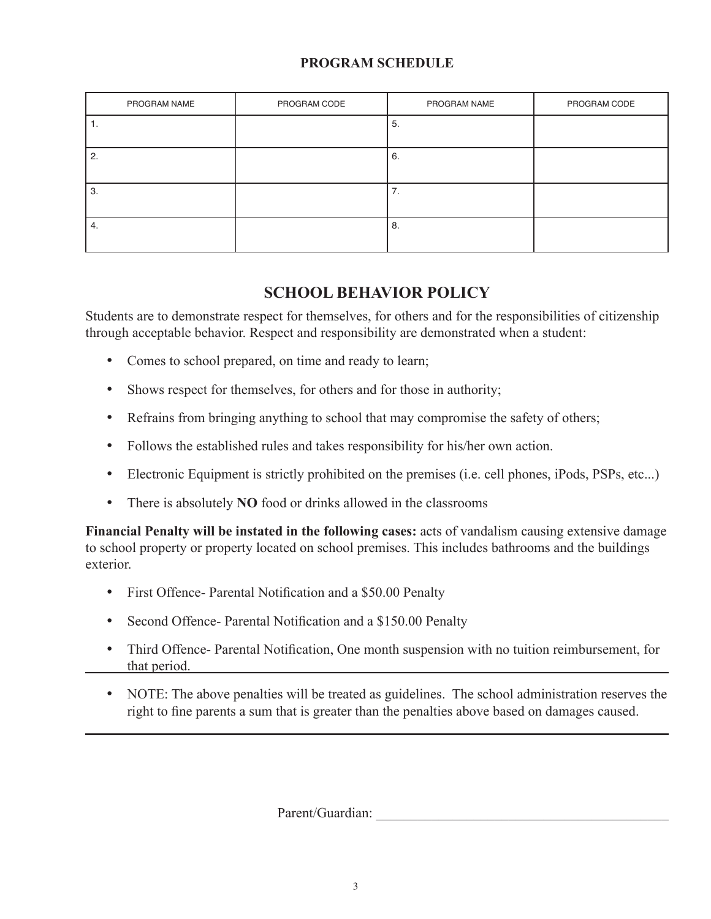# **PROGRAM SCHEDULE**

| PROGRAM NAME | PROGRAM CODE | PROGRAM NAME  | PROGRAM CODE |
|--------------|--------------|---------------|--------------|
| .,           |              | 5.            |              |
| 2.           |              | 6.            |              |
| 3.           |              | ⇁<br>7.       |              |
| 4.           |              | $^{\circ}$ 8. |              |

# **SCHOOL BEHAVIOR POLICY**

Students are to demonstrate respect for themselves, for others and for the responsibilities of citizenship through acceptable behavior. Respect and responsibility are demonstrated when a student:

- Comes to school prepared, on time and ready to learn;
- Shows respect for themselves, for others and for those in authority;
- Refrains from bringing anything to school that may compromise the safety of others;
- Follows the established rules and takes responsibility for his/her own action.
- Electronic Equipment is strictly prohibited on the premises (i.e. cell phones, iPods, PSPs, etc...)
- There is absolutely **NO** food or drinks allowed in the classrooms

**Financial Penalty will be instated in the following cases:** acts of vandalism causing extensive damage to school property or property located on school premises. This includes bathrooms and the buildings exterior.

- First Offence- Parental Notification and a \$50.00 Penalty
- Second Offence- Parental Notification and a \$150.00 Penalty
- Third Offence- Parental Notification, One month suspension with no tuition reimbursement, for that period.
- NOTE: The above penalties will be treated as guidelines. The school administration reserves the right to fine parents a sum that is greater than the penalties above based on damages caused.

Parent/Guardian: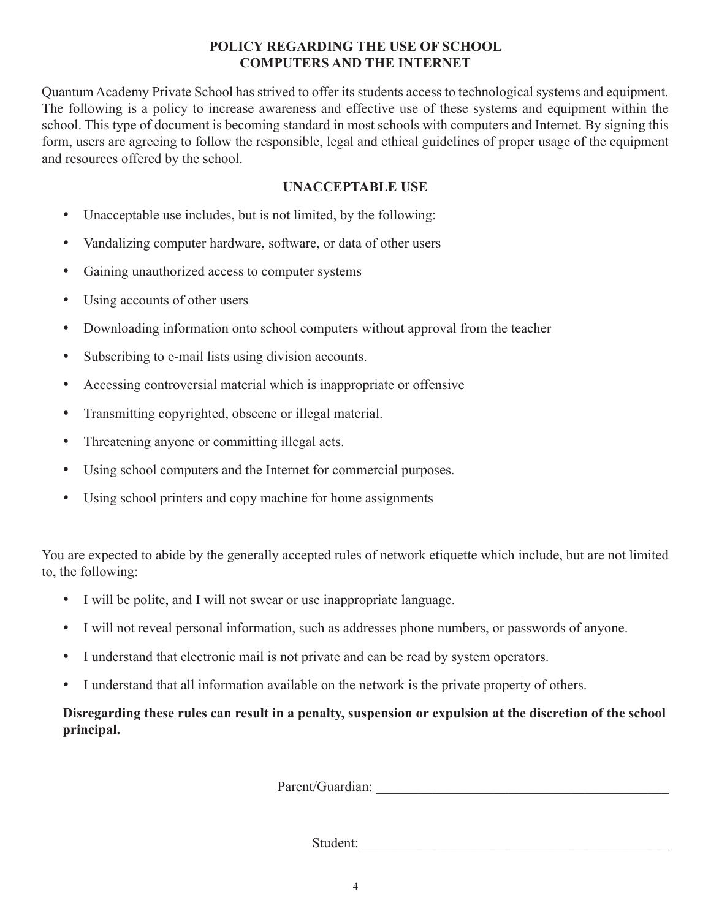# **POLICY REGARDING THE USE OF SCHOOL COMPUTERS AND THE INTERNET**

Quantum Academy Private School has strived to offer its students access to technological systems and equipment. The following is a policy to increase awareness and effective use of these systems and equipment within the school. This type of document is becoming standard in most schools with computers and Internet. By signing this form, users are agreeing to follow the responsible, legal and ethical guidelines of proper usage of the equipment and resources offered by the school.

# **UNACCEPTABLE USE**

- Unacceptable use includes, but is not limited, by the following:
- Vandalizing computer hardware, software, or data of other users
- Gaining unauthorized access to computer systems
- Using accounts of other users
- Downloading information onto school computers without approval from the teacher
- Subscribing to e-mail lists using division accounts.
- Accessing controversial material which is inappropriate or offensive
- Transmitting copyrighted, obscene or illegal material.
- Threatening anyone or committing illegal acts.
- Using school computers and the Internet for commercial purposes.
- Using school printers and copy machine for home assignments

You are expected to abide by the generally accepted rules of network etiquette which include, but are not limited to, the following:

- I will be polite, and I will not swear or use inappropriate language.
- I will not reveal personal information, such as addresses phone numbers, or passwords of anyone.
- I understand that electronic mail is not private and can be read by system operators.
- I understand that all information available on the network is the private property of others.

**Disregarding these rules can result in a penalty, suspension or expulsion at the discretion of the school principal.**

Parent/Guardian: \_\_\_\_\_\_\_\_\_\_\_\_\_\_\_\_\_\_\_\_\_\_\_\_\_\_\_\_\_\_\_\_\_\_\_\_\_\_\_\_\_\_

Student: